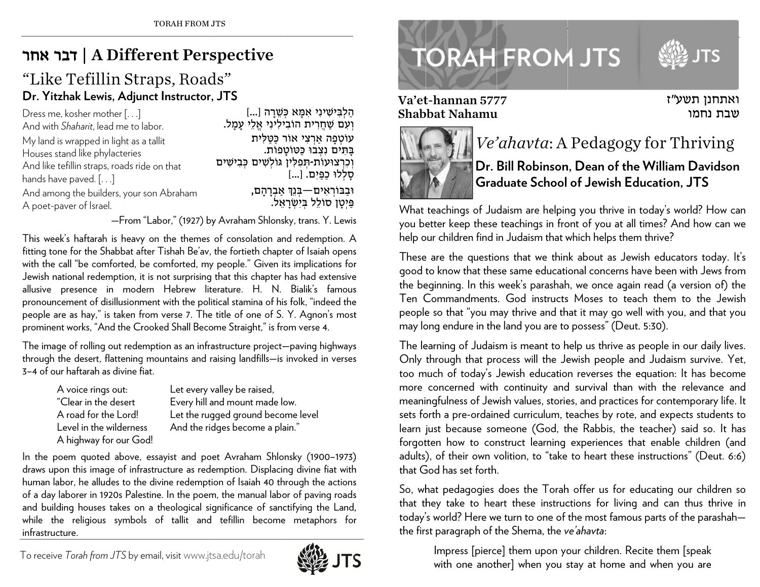## בר אחר ד | A Diffe erent Per s spective

## "Like Tefillin Straps, Roads" **Dr. Yitzh a ak Lewis, Adju nct Instructor, , JTS**

| Dress me, kosher mother $[]$                 | הַלְבִּישִׁינִי אִמָּא כְּשֵׁרָה []            |
|----------------------------------------------|------------------------------------------------|
| And with Shaharit, lead me to labor.         | וְעִם שַׁחֲרִית הוֹבִילִינִי אֱלֵי עָמָל.      |
| My land is wrapped in light as a tallit      | עוֹטְפָה אַרְצִי אוֹר כַּטַלְית                |
| Houses stand like phylacteries               | בַּתִּים נְצְבוּ כַּטּוֹטָפוֹת.                |
| And like tefillin straps, roads ride on that | וְכִרְצוּעוֹת-תְפִלְין גּוֹלְשִׁים כְּבִישִׁים |
| hands have paved. $[\ldots]$                 | סָלְלוּ כַפַּיִם. []                           |
| And among the builders, your son Abraham     | וּבַבּוֹרְאִים—בִּנֵךְ אַבְרָהָם,              |
| A poet-paver of Israel.                      | פַּיִטָן סוֹלֵל בִּיְשְׂרָאֵל.                 |

—From "Labor," (1927) by Avraham Shlonsky, trans. Y. Lewis

This week's haftarah is heavy on the themes of consolation and redemption. A fitting tone for the Shabbat after Tishah Be'av, the fortieth chapter of Isaiah opens with the call "be comforted, be comforted, my people." Given its implications for Jewish national redemption, it is not surprising that this chapter has had extensive allusive presence in modern Hebrew literature. H. N. Bialik's famous pronouncement of disillusionment with the political stamina of his folk, "indeed the people are as hay," is taken from verse 7. The title of one of S. Y. Agnon's most prominent works, "And the Crooked Shall Become Straight," is from verse 4.

The image of rolling out redemption as an infrastructure project—paving highways through the desert, flattening mountains and raising landfills—is invoked in verses 3–4 of our haftarah as divine ffiat.

| A voice rings out:      | Let every valley be raised, |
|-------------------------|-----------------------------|
| "Clear in the desert    | Every hill and mount mad    |
| A road for the Lord!    | Let the rugged ground be    |
| Level in the wilderness | And the ridges become a     |
| A highway for our God!  |                             |

valley be raised, and mount made low. gged ground bec ome level dges become a plain."

In the poem quoted above, essayist and poet Avraham Shlonsky (1900–1973) draws upon this image of infrastructure as redemption. Displacing divine fiat with human labor, he alludes to the divine redemption of Isaiah 40 through the actions of a day laborer in 1920s Palestine. In the poem, the manual labor of paving roads and building houses takes on a theological significance of sanctifying the Land, while the religious symbols of tallit and tefillin become metaphors for infrastructure.



## **TORAH FROM JTS**

Va'et-hannan 5777 Shabbbat Nahamu



## *Ve'ahavta*: A Pedagogy for Thriving

ואתחנן תשע"ז שבת נחמו

**Dr. Bill Robinson n, Dean of th e e William Da v vidson Gra d duate School of Jewish Ed ucation, JTS** 

What teachings of Judaism are helping you thrive in today's world? How can you better keep these teachings in front of you at all times? And how can we help our children find in Judaism that which helps them thrive?

These are the questions that we think about as Jewish educators today. It's good to know that these same educational concerns have been with Jews from the beginning. In this week's parashah, we once again read (a version of) the Ten Commandments. God instructs Moses to teach them to the Jewish people so that "you may thrive and that it may go well with you, and that you may long endure in the land you are to possess" (Deut. 5:30).

The learning of Judaism is meant to help us thrive as people in our daily lives. Only through that process will the Jewish people and Judaism survive. Yet, too m much of today's J Jewish educatio n reverses the e equation: It has become more concerned with continuity and survival than with the relevance and meaningfulness of Jewish values, stories, and practices for contemporary life. It sets forth a pre-ordained curriculum, teaches by rote, and expects students to learn just because someone (God, the Rabbis, the teacher) said so. It has forgotten how to construct learning experiences that enable children (and adults), of their own volition, to "take to heart these instructions" (Deut. 6:6) that God has set forth. Va'et-hannan 57<br>
Shabbat Nahamı<br>
Preset Alanman 57<br>
Shabbat Nahamı<br>
Preset Alanman<br>
Ssress help our children find<br>
These are the questit<br>
good to know that the<br>
the beginning. In this<br>
Ten Commandment<br>
preset are the quest

So, w h hat pedagogies does the Tora h h offer us for e d ducating our chi ldren so that they take to heart these instructions for living and can thus thrive in today's world? Here we turn to one of the most famous parts of the parashah the firs st paragraph of t the Shema, the *v ve'ahavta*:

lmpress [pierce] them upon your children. Recite them [speak with one another] when you stay at home and when you are